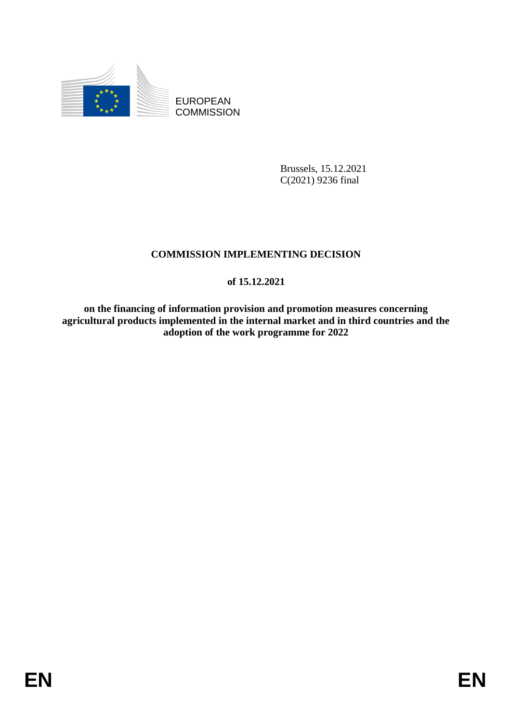

EUROPEAN **COMMISSION** 

> Brussels, 15.12.2021 C(2021) 9236 final

# **COMMISSION IMPLEMENTING DECISION**

# **of 15.12.2021**

**on the financing of information provision and promotion measures concerning agricultural products implemented in the internal market and in third countries and the adoption of the work programme for 2022**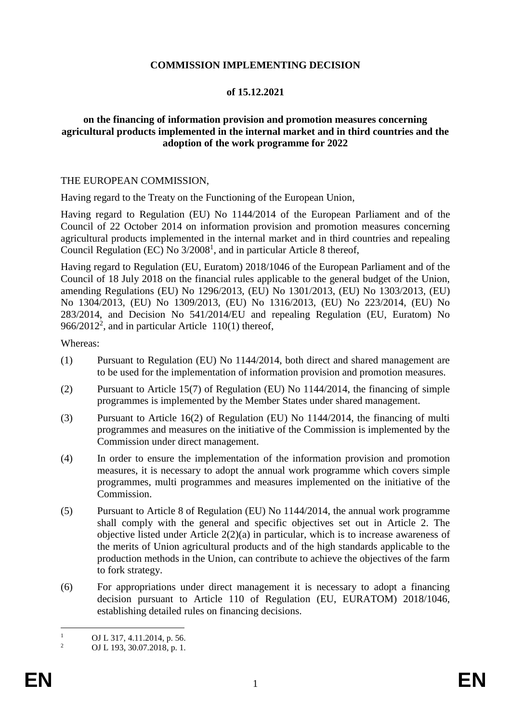### **COMMISSION IMPLEMENTING DECISION**

# **of 15.12.2021**

### **on the financing of information provision and promotion measures concerning agricultural products implemented in the internal market and in third countries and the adoption of the work programme for 2022**

#### THE EUROPEAN COMMISSION,

Having regard to the Treaty on the Functioning of the European Union,

Having regard to Regulation (EU) No 1144/2014 of the European Parliament and of the Council of 22 October 2014 on information provision and promotion measures concerning agricultural products implemented in the internal market and in third countries and repealing Council Regulation (EC) No  $3/2008<sup>1</sup>$ , and in particular Article 8 thereof,

Having regard to Regulation (EU, Euratom) 2018/1046 of the European Parliament and of the Council of 18 July 2018 on the financial rules applicable to the general budget of the Union, amending Regulations (EU) No 1296/2013, (EU) No 1301/2013, (EU) No 1303/2013, (EU) No 1304/2013, (EU) No 1309/2013, (EU) No 1316/2013, (EU) No 223/2014, (EU) No 283/2014, and Decision No 541/2014/EU and repealing Regulation (EU, Euratom) No 966/2012<sup>2</sup>, and in particular Article  $110(1)$  thereof,

Whereas:

- (1) Pursuant to Regulation (EU) No 1144/2014, both direct and shared management are to be used for the implementation of information provision and promotion measures.
- (2) Pursuant to Article 15(7) of Regulation (EU) No 1144/2014, the financing of simple programmes is implemented by the Member States under shared management.
- (3) Pursuant to Article 16(2) of Regulation (EU) No 1144/2014, the financing of multi programmes and measures on the initiative of the Commission is implemented by the Commission under direct management.
- (4) In order to ensure the implementation of the information provision and promotion measures, it is necessary to adopt the annual work programme which covers simple programmes, multi programmes and measures implemented on the initiative of the Commission.
- (5) Pursuant to Article 8 of Regulation (EU) No 1144/2014, the annual work programme shall comply with the general and specific objectives set out in Article 2. The objective listed under Article 2(2)(a) in particular, which is to increase awareness of the merits of Union agricultural products and of the high standards applicable to the production methods in the Union, can contribute to achieve the objectives of the farm to fork strategy.
- (6) For appropriations under direct management it is necessary to adopt a financing decision pursuant to Article 110 of Regulation (EU, EURATOM) 2018/1046, establishing detailed rules on financing decisions.

 $\mathbf{1}$  $\frac{1}{2}$  OJ L 317, 4.11.2014, p. 56.

<sup>2</sup> OJ L 193, 30.07.2018, p. 1.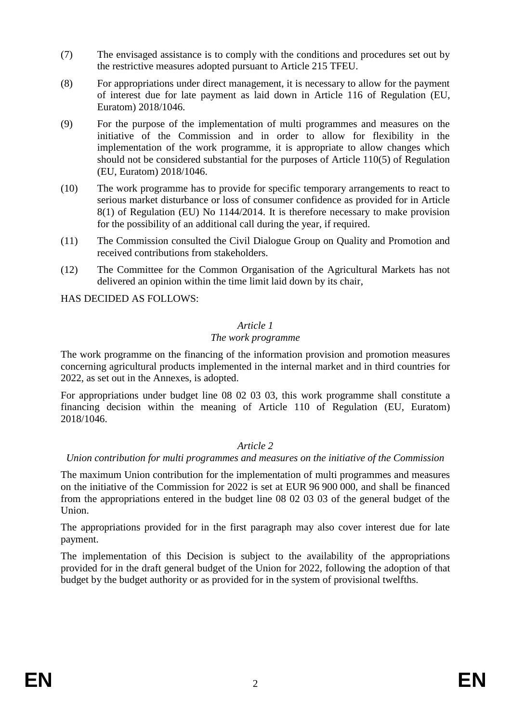- (7) The envisaged assistance is to comply with the conditions and procedures set out by the restrictive measures adopted pursuant to Article 215 TFEU.
- (8) For appropriations under direct management, it is necessary to allow for the payment of interest due for late payment as laid down in Article 116 of Regulation (EU, Euratom) 2018/1046.
- (9) For the purpose of the implementation of multi programmes and measures on the initiative of the Commission and in order to allow for flexibility in the implementation of the work programme, it is appropriate to allow changes which should not be considered substantial for the purposes of Article 110(5) of Regulation (EU, Euratom) 2018/1046.
- (10) The work programme has to provide for specific temporary arrangements to react to serious market disturbance or loss of consumer confidence as provided for in Article 8(1) of Regulation (EU) No 1144/2014. It is therefore necessary to make provision for the possibility of an additional call during the year, if required.
- (11) The Commission consulted the Civil Dialogue Group on Quality and Promotion and received contributions from stakeholders.
- (12) The Committee for the Common Organisation of the Agricultural Markets has not delivered an opinion within the time limit laid down by its chair,

HAS DECIDED AS FOLLOWS:

#### *Article 1*

#### *The work programme*

The work programme on the financing of the information provision and promotion measures concerning agricultural products implemented in the internal market and in third countries for 2022, as set out in the Annexes, is adopted.

For appropriations under budget line 08 02 03 03, this work programme shall constitute a financing decision within the meaning of Article 110 of Regulation (EU, Euratom) 2018/1046.

### *Article 2*

# *Union contribution for multi programmes and measures on the initiative of the Commission*

The maximum Union contribution for the implementation of multi programmes and measures on the initiative of the Commission for 2022 is set at EUR 96 900 000, and shall be financed from the appropriations entered in the budget line 08 02 03 03 of the general budget of the Union.

The appropriations provided for in the first paragraph may also cover interest due for late payment.

The implementation of this Decision is subject to the availability of the appropriations provided for in the draft general budget of the Union for 2022, following the adoption of that budget by the budget authority or as provided for in the system of provisional twelfths.